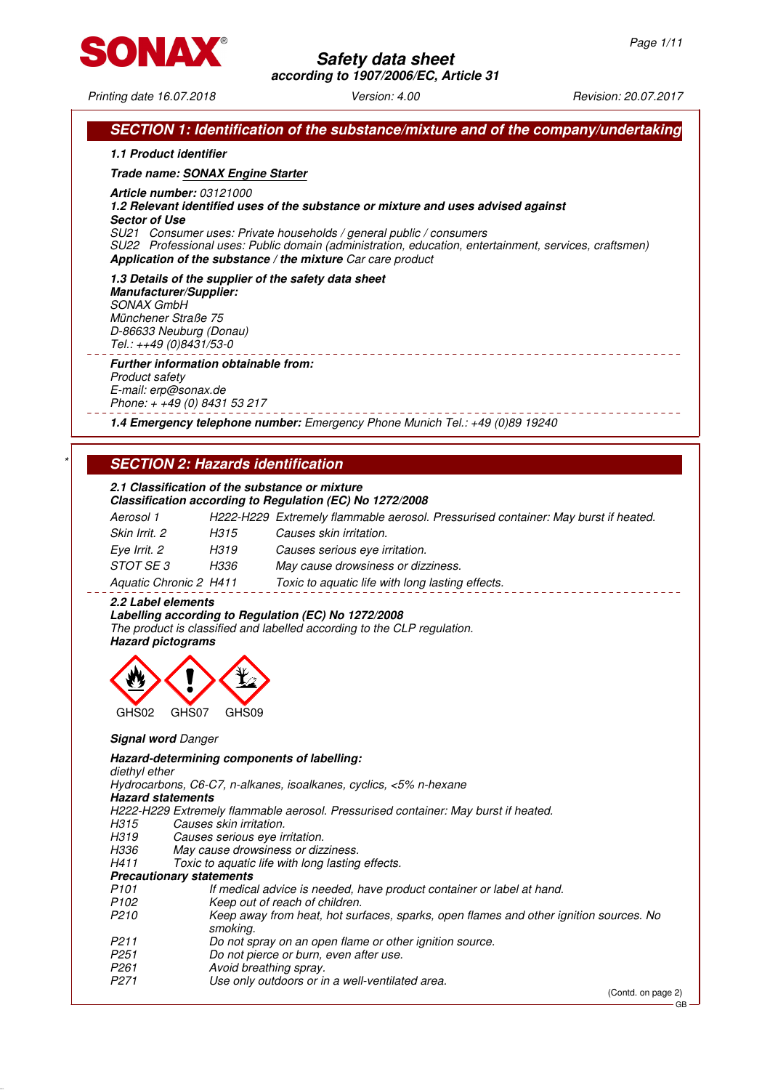

# **Safety data sheet**

**according to 1907/2006/EC, Article 31**

Printing date 16.07.2018 Version: 4.00 Revision: 20.07.2017

|                                                      | 1.1 Product identifier                                                                                                                                                       |
|------------------------------------------------------|------------------------------------------------------------------------------------------------------------------------------------------------------------------------------|
|                                                      | Trade name: SONAX Engine Starter                                                                                                                                             |
| <b>Article number: 03121000</b>                      |                                                                                                                                                                              |
|                                                      | 1.2 Relevant identified uses of the substance or mixture and uses advised against                                                                                            |
| <b>Sector of Use</b>                                 |                                                                                                                                                                              |
|                                                      | SU21 Consumer uses: Private households / general public / consumers<br>SU22 Professional uses: Public domain (administration, education, entertainment, services, craftsmen) |
|                                                      | Application of the substance / the mixture Car care product                                                                                                                  |
|                                                      | 1.3 Details of the supplier of the safety data sheet                                                                                                                         |
| <b>Manufacturer/Supplier:</b><br><b>SONAX GmbH</b>   |                                                                                                                                                                              |
| Münchener Straße 75                                  |                                                                                                                                                                              |
| D-86633 Neuburg (Donau)                              |                                                                                                                                                                              |
| Tel.: ++49 (0)8431/53-0                              |                                                                                                                                                                              |
|                                                      | <b>Further information obtainable from:</b>                                                                                                                                  |
| <b>Product safety</b>                                |                                                                                                                                                                              |
| E-mail: erp@sonax.de<br>Phone: + +49 (0) 8431 53 217 |                                                                                                                                                                              |
|                                                      |                                                                                                                                                                              |
|                                                      | 1.4 Emergency telephone number: Emergency Phone Munich Tel.: +49 (0)89 19240                                                                                                 |
|                                                      |                                                                                                                                                                              |
|                                                      | <b>SECTION 2: Hazards identification</b>                                                                                                                                     |
|                                                      | 2.1 Classification of the substance or mixture                                                                                                                               |
|                                                      | Classification according to Regulation (EC) No 1272/2008                                                                                                                     |
| Aerosol 1                                            | H222-H229 Extremely flammable aerosol. Pressurised container: May burst if heated.                                                                                           |
| Skin Irrit. 2                                        | H315<br>Causes skin irritation.                                                                                                                                              |
| Eye Irrit. 2                                         | H319<br>Causes serious eye irritation.                                                                                                                                       |
| STOT SE 3                                            | H336<br>May cause drowsiness or dizziness.                                                                                                                                   |
| Aquatic Chronic 2 H411                               | Toxic to aquatic life with long lasting effects.                                                                                                                             |
| 2.2 Label elements                                   |                                                                                                                                                                              |
|                                                      | Labelling according to Regulation (EC) No 1272/2008                                                                                                                          |
|                                                      | The product is classified and labelled according to the CLP regulation.                                                                                                      |
| <b>Hazard pictograms</b>                             |                                                                                                                                                                              |
|                                                      |                                                                                                                                                                              |
|                                                      |                                                                                                                                                                              |
|                                                      |                                                                                                                                                                              |
|                                                      | GHS09<br>GHS07                                                                                                                                                               |
| GHS02                                                |                                                                                                                                                                              |
|                                                      |                                                                                                                                                                              |
| <b>Signal word Danger</b>                            |                                                                                                                                                                              |
|                                                      | Hazard-determining components of labelling:                                                                                                                                  |
| diethyl ether                                        |                                                                                                                                                                              |
| <b>Hazard statements</b>                             | Hydrocarbons, C6-C7, n-alkanes, isoalkanes, cyclics, <5% n-hexane                                                                                                            |
|                                                      | H222-H229 Extremely flammable aerosol. Pressurised container: May burst if heated.                                                                                           |
| H315                                                 | Causes skin irritation.                                                                                                                                                      |
| H319                                                 | Causes serious eye irritation.                                                                                                                                               |
| H336<br>H411                                         | May cause drowsiness or dizziness.<br>Toxic to aquatic life with long lasting effects.                                                                                       |
| <b>Precautionary statements</b>                      |                                                                                                                                                                              |
| P <sub>101</sub>                                     | If medical advice is needed, have product container or label at hand.                                                                                                        |
| P <sub>102</sub>                                     | Keep out of reach of children.                                                                                                                                               |
| P <sub>210</sub>                                     | smoking.                                                                                                                                                                     |
| P <sub>211</sub>                                     | Do not spray on an open flame or other ignition source.                                                                                                                      |
| P <sub>251</sub>                                     | Do not pierce or burn, even after use.                                                                                                                                       |
| P <sub>261</sub><br>P <sub>271</sub>                 | Keep away from heat, hot surfaces, sparks, open flames and other ignition sources. No<br>Avoid breathing spray.<br>Use only outdoors or in a well-ventilated area.           |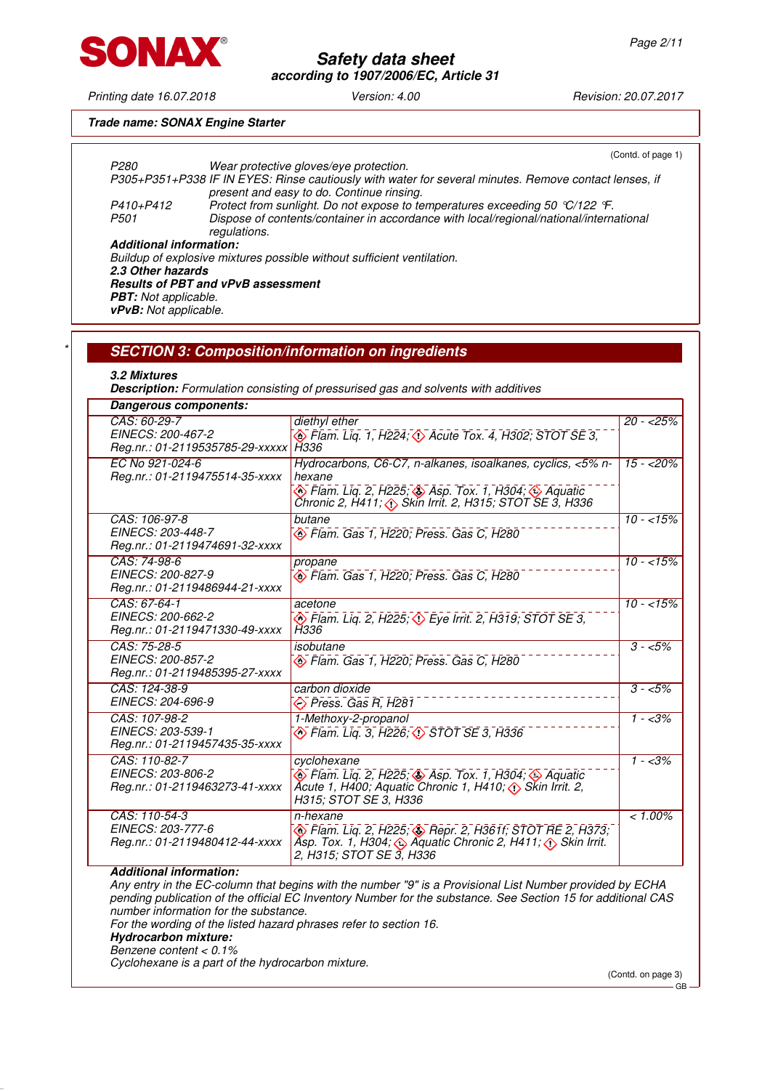

Printing date 16.07.2018 Version: 4.00 Revision: 20.07.2017

## **Trade name: SONAX Engine Starter**

| P <sub>280</sub>               |                                           | Wear protective gloves/eye protection.                                                                                                                                                                              | (Contd. of page 1) |
|--------------------------------|-------------------------------------------|---------------------------------------------------------------------------------------------------------------------------------------------------------------------------------------------------------------------|--------------------|
|                                |                                           | P305+P351+P338 IF IN EYES: Rinse cautiously with water for several minutes. Remove contact lenses, if                                                                                                               |                    |
| P410+P412<br>P <sub>501</sub>  |                                           | present and easy to do. Continue rinsing.<br>Protect from sunlight. Do not expose to temperatures exceeding 50 °C/122 °F.<br>Dispose of contents/container in accordance with local/regional/national/international |                    |
| <b>Additional information:</b> | regulations.                              |                                                                                                                                                                                                                     |                    |
|                                |                                           | Buildup of explosive mixtures possible without sufficient ventilation.                                                                                                                                              |                    |
| 2.3 Other hazards              |                                           |                                                                                                                                                                                                                     |                    |
|                                | <b>Results of PBT and vPvB assessment</b> |                                                                                                                                                                                                                     |                    |
| PBT: Not applicable.           |                                           |                                                                                                                                                                                                                     |                    |
| vPvB: Not applicable.          |                                           |                                                                                                                                                                                                                     |                    |
|                                |                                           |                                                                                                                                                                                                                     |                    |
|                                |                                           |                                                                                                                                                                                                                     |                    |
|                                |                                           | <b>SECTION 3: Composition/information on ingredients</b>                                                                                                                                                            |                    |
|                                |                                           |                                                                                                                                                                                                                     |                    |
| 3.2 Mixtures                   |                                           |                                                                                                                                                                                                                     |                    |
|                                |                                           | <b>Description:</b> Formulation consisting of pressurised gas and solvents with additives                                                                                                                           |                    |
| <b>Dangerous components:</b>   |                                           |                                                                                                                                                                                                                     |                    |
| CAS: 60-29-7                   |                                           | diethyl ether                                                                                                                                                                                                       | $20 - 25%$         |
| EINECS: 200-467-2              |                                           |                                                                                                                                                                                                                     |                    |
|                                |                                           | $\diamond$ Flam. Lig. 1, H224; $\diamond$ Acute Tox. 4, H302; STOT SE 3,                                                                                                                                            |                    |
|                                | Reg.nr.: 01-2119535785-29-xxxxx   H336    |                                                                                                                                                                                                                     |                    |
| EC No 921-024-6                |                                           | Hydrocarbons, C6-C7, n-alkanes, isoalkanes, cyclics, <5% n-                                                                                                                                                         | $15 - 20\%$        |
|                                | Reg.nr.: 01-2119475514-35-xxxx            | hexane                                                                                                                                                                                                              |                    |
|                                |                                           | $\diamond$ Flam. Lig. 2, H225; $\diamond$ Asp. Tox. 1, H304; $\diamond$ Aquatic                                                                                                                                     |                    |
|                                |                                           |                                                                                                                                                                                                                     |                    |
| CAS: 106-97-8                  |                                           | butane                                                                                                                                                                                                              | $10 - 15\%$        |
| EINECS: 203-448-7              |                                           | Flam. Gas 1, H220; Press. Gas C, H280                                                                                                                                                                               |                    |
|                                | Reg.nr.: 01-2119474691-32-xxxx            |                                                                                                                                                                                                                     |                    |
|                                |                                           |                                                                                                                                                                                                                     |                    |
| CAS: 74-98-6                   |                                           | propane                                                                                                                                                                                                             | $10 - 15\%$        |
| EINECS: 200-827-9              |                                           | Flam. Gas 1, H220; Press. Gas C, H280                                                                                                                                                                               |                    |
|                                | Reg.nr.: 01-2119486944-21-xxxx            |                                                                                                                                                                                                                     |                    |
| CAS: 67-64-1                   |                                           | acetone                                                                                                                                                                                                             | $10 - 15\%$        |
| EINECS: 200-662-2              |                                           | $\circled{}$ Flam. Lig. 2, H225; $\circled{}$ Eye Irrit. 2, H319; STOT SE 3,                                                                                                                                        |                    |
|                                | Reg.nr.: 01-2119471330-49-xxxx            | H336                                                                                                                                                                                                                |                    |
|                                |                                           |                                                                                                                                                                                                                     |                    |
| CAS: 75-28-5                   |                                           | isobutane                                                                                                                                                                                                           | $3 - 5%$           |
| EINECS: 200-857-2              |                                           | Flam. Gas 1, H220; Press. Gas C, H280                                                                                                                                                                               |                    |
|                                | Reg.nr.: 01-2119485395-27-xxxx            |                                                                                                                                                                                                                     |                    |

#### **Additional information:**

Reg.nr.: 01-2119457435-35-xxxx

Reg.nr.: 01-2119463273-41-xxxx

Reg.nr.: 01-2119480412-44-xxxx

CAS: 124-38-9 EINECS: 204-696-9

CAS: 107-98-2 EINECS: 203-539-1

CAS: 110-82-7 EINECS: 203-806-2

CAS: 110-54-3 EINECS: 203-777-6

Any entry in the EC-column that begins with the number "9" is a Provisional List Number provided by ECHA pending publication of the official EC Inventory Number for the substance. See Section 15 for additional CAS number information for the substance. For the wording of the listed hazard phrases refer to section 16. **Hydrocarbon mixture:**

 $\overline{\textcircled{\circ}}$  Flam. Liq. 3, H226;  $\overline{\textcirc}$  STOT SE 3, H336

 $\circledast$  Flam. Liq. 2, H225;  $\circledast$  Asp. Tox. 1, H304;  $\circledast$  Aquatic Acute 1, H400; Aquatic Chronic 1, H410; Skin Irrit. 2,

Flam. Liq. 2, H225;  $\diamondsuit$  Repr. 2, H361f; STOT RE 2, H373; Asp. Tox. 1, H304;  $\textcircled{\textsc{i}}$  Aquatic Chronic 2, H411;  $\textcircled{\textsc{i}}$  Skin Irrit.

carbon dioxide

cyclohexane

n-hexane

Press. Gas R, H281

1-Methoxy-2-propanol

H315; STOT SE 3, H336

2, H315; STOT SE 3, H336

Benzene content < 0.1%

Cyclohexane is a part of the hydrocarbon mixture.

(Contd. on page 3)

 $3 - 5\%$ 

 $1 - 3%$ 

 $1 - 3\%$ 

 $< 1.00\%$ 

GB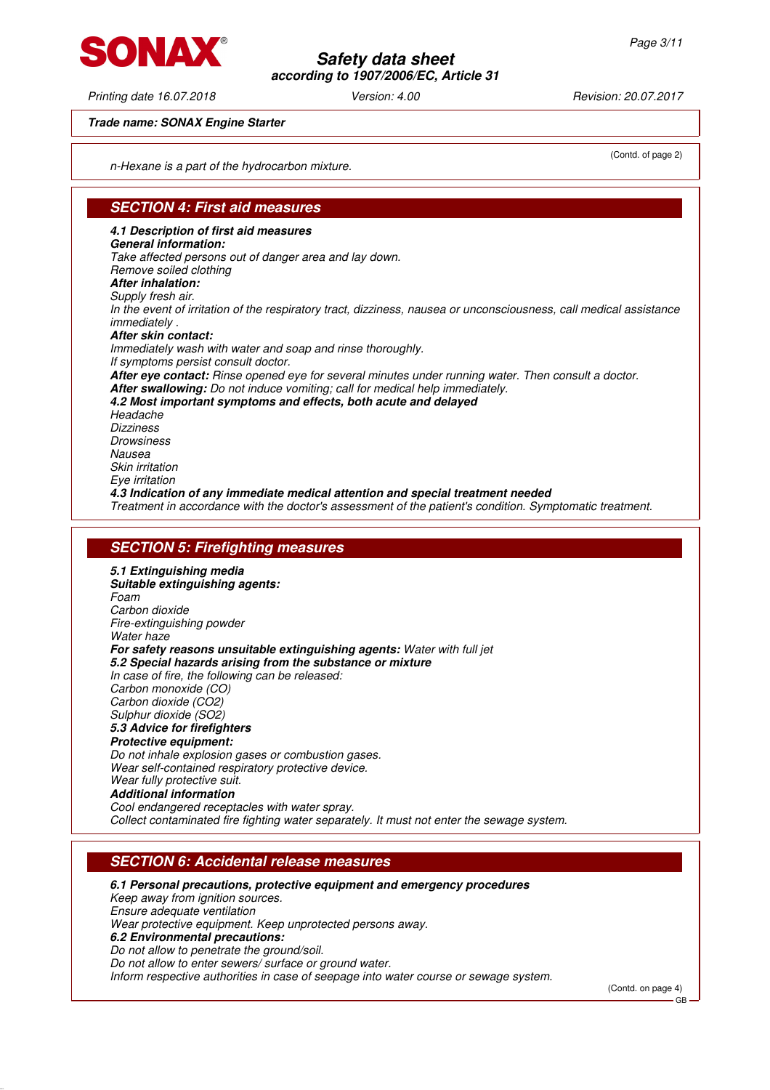Printing date 16.07.2018 Version: 4.00 Revision: 20.07.2017

**Trade name: SONAX Engine Starter**

n-Hexane is a part of the hydrocarbon mixture.

## **SECTION 4: First aid measures**

**4.1 Description of first aid measures General information:** Take affected persons out of danger area and lay down. Remove soiled clothing **After inhalation:** Supply fresh air. In the event of irritation of the respiratory tract, dizziness, nausea or unconsciousness, call medical assistance immediately . **After skin contact:** Immediately wash with water and soap and rinse thoroughly. If symptoms persist consult doctor. **After eye contact:** Rinse opened eye for several minutes under running water. Then consult a doctor. **After swallowing:** Do not induce vomiting; call for medical help immediately. **4.2 Most important symptoms and effects, both acute and delayed Headache Dizziness Drowsiness** Nausea Skin irritation Eye irritation **4.3 Indication of any immediate medical attention and special treatment needed** Treatment in accordance with the doctor's assessment of the patient's condition. Symptomatic treatment.

#### **SECTION 5: Firefighting measures**

**5.1 Extinguishing media Suitable extinguishing agents:** Foam Carbon dioxide Fire-extinguishing powder Water haze **For safety reasons unsuitable extinguishing agents:** Water with full jet **5.2 Special hazards arising from the substance or mixture** In case of fire, the following can be released: Carbon monoxide (CO) Carbon dioxide (CO2) Sulphur dioxide (SO2) **5.3 Advice for firefighters Protective equipment:** Do not inhale explosion gases or combustion gases. Wear self-contained respiratory protective device. Wear fully protective suit. **Additional information** Cool endangered receptacles with water spray. Collect contaminated fire fighting water separately. It must not enter the sewage system.

### **SECTION 6: Accidental release measures**

#### **6.1 Personal precautions, protective equipment and emergency procedures**

Keep away from ignition sources. Ensure adequate ventilation Wear protective equipment. Keep unprotected persons away. **6.2 Environmental precautions:** Do not allow to penetrate the ground/soil.

Do not allow to enter sewers/ surface or ground water.

Inform respective authorities in case of seepage into water course or sewage system.

(Contd. on page 4)

GB



(Contd. of page 2)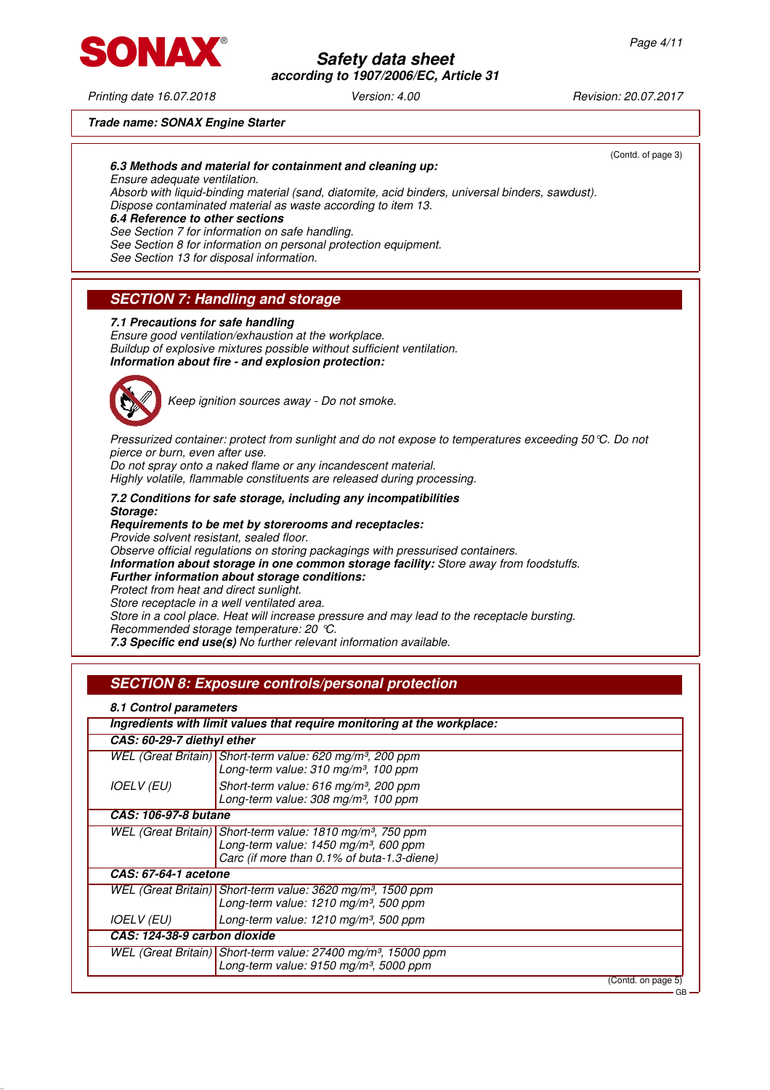

# **according to 1907/2006/EC, Article 31**

**Safety data sheet**

Printing date 16.07.2018 Version: 4.00 Revision: 20.07.2017

(Contd. of page 3)

#### **Trade name: SONAX Engine Starter**

#### **6.3 Methods and material for containment and cleaning up:**

Ensure adequate ventilation.

Absorb with liquid-binding material (sand, diatomite, acid binders, universal binders, sawdust). Dispose contaminated material as waste according to item 13.

#### **6.4 Reference to other sections**

See Section 7 for information on safe handling.

See Section 8 for information on personal protection equipment.

See Section 13 for disposal information.

## **SECTION 7: Handling and storage**

#### **7.1 Precautions for safe handling**

Ensure good ventilation/exhaustion at the workplace. Buildup of explosive mixtures possible without sufficient ventilation. **Information about fire - and explosion protection:**



Keep ignition sources away - Do not smoke.

Pressurized container: protect from sunlight and do not expose to temperatures exceeding 50°C. Do not pierce or burn, even after use.

Do not spray onto a naked flame or any incandescent material.

Highly volatile, flammable constituents are released during processing.

**7.2 Conditions for safe storage, including any incompatibilities Storage:**

**Requirements to be met by storerooms and receptacles:** Provide solvent resistant, sealed floor. Observe official regulations on storing packagings with pressurised containers. **Information about storage in one common storage facility:** Store away from foodstuffs. **Further information about storage conditions:** Protect from heat and direct sunlight.

Store receptacle in a well ventilated area. Store in a cool place. Heat will increase pressure and may lead to the receptacle bursting. Recommended storage temperature: 20 °C.

**7.3 Specific end use(s)** No further relevant information available.

## **SECTION 8: Exposure controls/personal protection**

#### **8.1 Control parameters**

|                              | Ingredients with limit values that require monitoring at the workplace:                                                                                                     |
|------------------------------|-----------------------------------------------------------------------------------------------------------------------------------------------------------------------------|
| CAS: 60-29-7 diethyl ether   |                                                                                                                                                                             |
|                              | WEL (Great Britain) Short-term value: 620 mg/m <sup>3</sup> , 200 ppm<br>Long-term value: 310 mg/m <sup>3</sup> , 100 ppm                                                   |
| <b>IOELV</b> (EU)            | Short-term value: 616 mg/m <sup>3</sup> , 200 ppm<br>Long-term value: 308 mg/m <sup>3</sup> , 100 ppm                                                                       |
| CAS: 106-97-8 butane         |                                                                                                                                                                             |
|                              | WEL (Great Britain) Short-term value: 1810 mg/m <sup>3</sup> , 750 ppm<br>Long-term value: $1450$ mg/m <sup>3</sup> , 600 ppm<br>Carc (if more than 0.1% of buta-1.3-diene) |
| CAS: 67-64-1 acetone         |                                                                                                                                                                             |
|                              | WEL (Great Britain) Short-term value: 3620 mg/m <sup>3</sup> , 1500 ppm<br>Long-term value: $1210$ mg/m <sup>3</sup> , 500 ppm                                              |
| <b>IOELV (EU)</b>            | Long-term value: $1210$ mg/m <sup>3</sup> , 500 ppm                                                                                                                         |
| CAS: 124-38-9 carbon dioxide |                                                                                                                                                                             |
|                              | WEL (Great Britain) Short-term value: 27400 mg/m <sup>3</sup> , 15000 ppm<br>Long-term value: 9150 mg/m <sup>3</sup> , 5000 ppm                                             |
|                              | (Contd. on page 5)                                                                                                                                                          |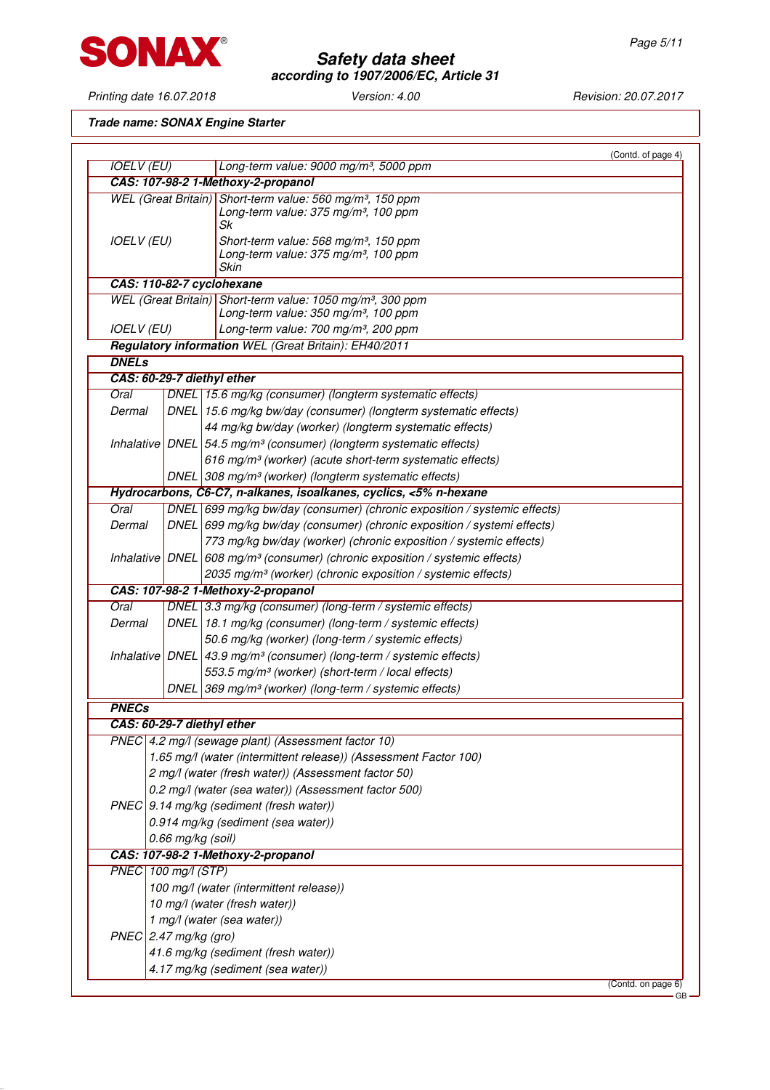

Printing date 16.07.2018 Version: 4.00 Revision: 20.07.2017

**Trade name: SONAX Engine Starter**

|                            |                   |                                                                                                                                 | (Contd. of page 4) |
|----------------------------|-------------------|---------------------------------------------------------------------------------------------------------------------------------|--------------------|
| <b>IOELV (EU)</b>          |                   | Long-term value: 9000 mg/m <sup>3</sup> , 5000 ppm                                                                              |                    |
|                            |                   | CAS: 107-98-2 1-Methoxy-2-propanol                                                                                              |                    |
|                            |                   | WEL (Great Britain) Short-term value: 560 mg/m <sup>3</sup> , 150 ppm<br>Long-term value: 375 mg/m <sup>3</sup> , 100 ppm<br>Sk |                    |
| <b>IOELV (EU)</b>          |                   | Short-term value: 568 mg/m <sup>3</sup> , 150 ppm<br>Long-term value: 375 mg/m <sup>3</sup> , 100 ppm<br><b>Skin</b>            |                    |
|                            |                   | CAS: 110-82-7 cyclohexane                                                                                                       |                    |
|                            |                   | WEL (Great Britain) Short-term value: 1050 mg/m <sup>3</sup> , 300 ppm                                                          |                    |
|                            |                   | Long-term value: 350 mg/m <sup>3</sup> , 100 ppm                                                                                |                    |
| <b>IOELV (EU)</b>          |                   | Long-term value: 700 mg/m <sup>3</sup> , 200 ppm                                                                                |                    |
|                            |                   | <b>Regulatory information WEL (Great Britain): EH40/2011</b>                                                                    |                    |
| <b>DNELs</b>               |                   |                                                                                                                                 |                    |
|                            |                   | CAS: 60-29-7 diethyl ether                                                                                                      |                    |
| Oral                       |                   | DNEL 15.6 mg/kg (consumer) (longterm systematic effects)                                                                        |                    |
| Dermal                     |                   | DNEL 15.6 mg/kg bw/day (consumer) (longterm systematic effects)                                                                 |                    |
|                            |                   | 44 mg/kg bw/day (worker) (longterm systematic effects)                                                                          |                    |
|                            |                   | Inhalative DNEL $54.5$ mg/m <sup>3</sup> (consumer) (longterm systematic effects)                                               |                    |
|                            |                   | 616 mg/m <sup>3</sup> (worker) (acute short-term systematic effects)                                                            |                    |
|                            |                   | DNEL 308 mg/m <sup>3</sup> (worker) (longterm systematic effects)                                                               |                    |
|                            |                   | Hydrocarbons, C6-C7, n-alkanes, isoalkanes, cyclics, <5% n-hexane                                                               |                    |
| Oral                       |                   | DNEL 699 mg/kg bw/day (consumer) (chronic exposition / systemic effects)                                                        |                    |
| Dermal                     |                   | DNEL 699 mg/kg bw/day (consumer) (chronic exposition / systemi effects)                                                         |                    |
|                            |                   | 773 mg/kg bw/day (worker) (chronic exposition / systemic effects)                                                               |                    |
|                            |                   | Inhalative DNEL 608 mg/m <sup>3</sup> (consumer) (chronic exposition / systemic effects)                                        |                    |
|                            |                   | 2035 mg/m <sup>3</sup> (worker) (chronic exposition / systemic effects)                                                         |                    |
|                            |                   | CAS: 107-98-2 1-Methoxy-2-propanol                                                                                              |                    |
| Oral                       |                   | DNEL 3.3 mg/kg (consumer) (long-term / systemic effects)                                                                        |                    |
| Dermal                     |                   | DNEL 18.1 mg/kg (consumer) (long-term / systemic effects)                                                                       |                    |
|                            |                   | 50.6 mg/kg (worker) (long-term / systemic effects)                                                                              |                    |
|                            |                   | Inhalative DNEL 43.9 mg/m <sup>3</sup> (consumer) (long-term / systemic effects)                                                |                    |
|                            |                   | 553.5 mg/m <sup>3</sup> (worker) (short-term / local effects)                                                                   |                    |
|                            | <b>DNEL</b>       | 369 mg/m <sup>3</sup> (worker) (long-term / systemic effects)                                                                   |                    |
| <b>PNECs</b>               |                   |                                                                                                                                 |                    |
| CAS: 60-29-7 diethyl ether |                   |                                                                                                                                 |                    |
|                            |                   | PNEC 4.2 mg/l (sewage plant) (Assessment factor 10)                                                                             |                    |
|                            |                   | 1.65 mg/l (water (intermittent release)) (Assessment Factor 100)                                                                |                    |
|                            |                   | 2 mg/l (water (fresh water)) (Assessment factor 50)                                                                             |                    |
|                            |                   | 0.2 mg/l (water (sea water)) (Assessment factor 500)                                                                            |                    |
|                            |                   | PNEC 9.14 mg/kg (sediment (fresh water))                                                                                        |                    |
|                            |                   | 0.914 mg/kg (sediment (sea water))                                                                                              |                    |
|                            | 0.66 mg/kg (soil) |                                                                                                                                 |                    |
|                            |                   | CAS: 107-98-2 1-Methoxy-2-propanol                                                                                              |                    |
| PNEC 100 mg/l (STP)        |                   |                                                                                                                                 |                    |
|                            |                   | 100 mg/l (water (intermittent release))                                                                                         |                    |
|                            |                   | 10 mg/l (water (fresh water))                                                                                                   |                    |
|                            |                   | 1 mg/l (water (sea water))                                                                                                      |                    |
| $PNEC$ 2.47 mg/kg (gro)    |                   |                                                                                                                                 |                    |
|                            |                   | 41.6 mg/kg (sediment (fresh water))                                                                                             |                    |
|                            |                   | 4.17 mg/kg (sediment (sea water))                                                                                               |                    |
|                            |                   |                                                                                                                                 |                    |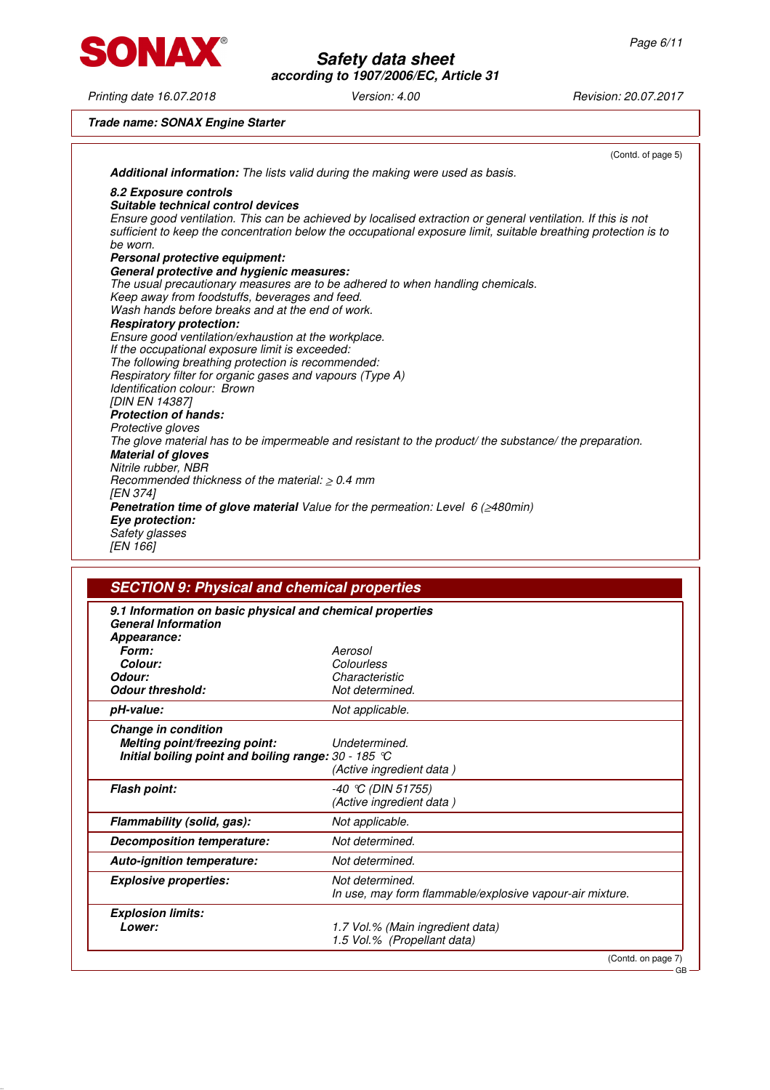SONAX®

Printing date 16.07.2018 Version: 4.00 Revision: 20.07.2017

## **Safety data sheet according to 1907/2006/EC, Article 31**

**Trade name: SONAX Engine Starter**

|                                                                                                                                                                                                                                             | (Contd. of page 5) |
|---------------------------------------------------------------------------------------------------------------------------------------------------------------------------------------------------------------------------------------------|--------------------|
| Additional information: The lists valid during the making were used as basis.                                                                                                                                                               |                    |
| 8.2 Exposure controls                                                                                                                                                                                                                       |                    |
| Suitable technical control devices                                                                                                                                                                                                          |                    |
| Ensure good ventilation. This can be achieved by localised extraction or general ventilation. If this is not<br>sufficient to keep the concentration below the occupational exposure limit, suitable breathing protection is to<br>be worn. |                    |
| Personal protective equipment:                                                                                                                                                                                                              |                    |
| General protective and hygienic measures:                                                                                                                                                                                                   |                    |
| The usual precautionary measures are to be adhered to when handling chemicals.                                                                                                                                                              |                    |
| Keep away from foodstuffs, beverages and feed.                                                                                                                                                                                              |                    |
| Wash hands before breaks and at the end of work.                                                                                                                                                                                            |                    |
| <b>Respiratory protection:</b>                                                                                                                                                                                                              |                    |
| Ensure good ventilation/exhaustion at the workplace.                                                                                                                                                                                        |                    |
| If the occupational exposure limit is exceeded:                                                                                                                                                                                             |                    |
| The following breathing protection is recommended:                                                                                                                                                                                          |                    |
| Respiratory filter for organic gases and vapours (Type A)                                                                                                                                                                                   |                    |
| Identification colour: Brown                                                                                                                                                                                                                |                    |
| <b>IDIN EN 143871</b>                                                                                                                                                                                                                       |                    |
| <b>Protection of hands:</b>                                                                                                                                                                                                                 |                    |
| Protective gloves                                                                                                                                                                                                                           |                    |
| The glove material has to be impermeable and resistant to the product/ the substance/ the preparation.                                                                                                                                      |                    |
| <b>Material of gloves</b>                                                                                                                                                                                                                   |                    |
| Nitrile rubber, NBR                                                                                                                                                                                                                         |                    |
| Recommended thickness of the material: $> 0.4$ mm                                                                                                                                                                                           |                    |
| <b>IEN 3741</b>                                                                                                                                                                                                                             |                    |
| <b>Penetration time of glove material</b> Value for the permeation: Level 6 ( $\geq$ 480min)                                                                                                                                                |                    |
| Eye protection:                                                                                                                                                                                                                             |                    |
| Safety glasses                                                                                                                                                                                                                              |                    |
| IEN 1661                                                                                                                                                                                                                                    |                    |

| 9.1 Information on basic physical and chemical properties<br><b>General Information</b>                        |                                                                             |
|----------------------------------------------------------------------------------------------------------------|-----------------------------------------------------------------------------|
| Appearance:                                                                                                    |                                                                             |
| Form:                                                                                                          | Aerosol                                                                     |
| Colour:                                                                                                        | Colourless                                                                  |
| Odour:                                                                                                         | Characteristic                                                              |
| <b>Odour threshold:</b>                                                                                        | Not determined.                                                             |
| pH-value:                                                                                                      | Not applicable.                                                             |
| Change in condition<br>Melting point/freezing point:<br>Initial boiling point and boiling range: $30 - 185$ °C | Undetermined.<br>(Active ingredient data)                                   |
| <b>Flash point:</b>                                                                                            | $-40$ °C (DIN 51755)<br>(Active ingredient data)                            |
| Flammability (solid, gas):                                                                                     | Not applicable.                                                             |
| Decomposition temperature:                                                                                     | Not determined.                                                             |
| Auto-ignition temperature:                                                                                     | Not determined.                                                             |
| <b>Explosive properties:</b>                                                                                   | Not determined.<br>In use, may form flammable/explosive vapour-air mixture. |
| <b>Explosion limits:</b>                                                                                       |                                                                             |
| Lower:                                                                                                         | 1.7 Vol.% (Main ingredient data)<br>1.5 Vol.% (Propellant data)             |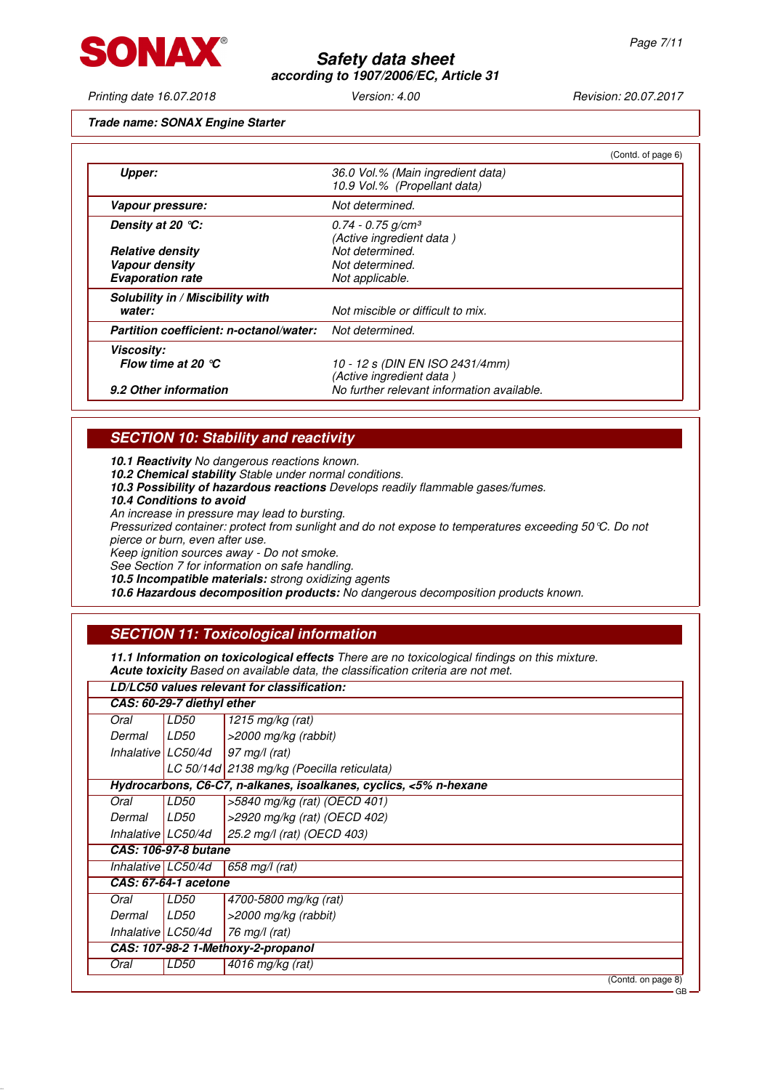

Printing date 16.07.2018 Version: 4.00 Revision: 20.07.2017

#### **Trade name: SONAX Engine Starter**

|                                         | (Contd. of page 6)                                                |
|-----------------------------------------|-------------------------------------------------------------------|
| Upper:                                  | 36.0 Vol.% (Main ingredient data)<br>10.9 Vol.% (Propellant data) |
| Vapour pressure:                        | Not determined.                                                   |
| Density at 20 °C:                       | $0.74 - 0.75$ g/cm <sup>3</sup><br>(Active ingredient data)       |
| <b>Relative density</b>                 | Not determined.                                                   |
| Vapour density                          | Not determined.                                                   |
| <b>Evaporation rate</b>                 | Not applicable.                                                   |
| Solubility in / Miscibility with        |                                                                   |
| water:                                  | Not miscible or difficult to mix.                                 |
| Partition coefficient: n-octanol/water: | Not determined.                                                   |
| <b>Viscosity:</b>                       |                                                                   |
| Flow time at 20 $^{\circ}$ C            | 10 - 12 s (DIN EN ISO 2431/4mm)<br>(Active ingredient data)       |
| 9.2 Other information                   | No further relevant information available.                        |

## **SECTION 10: Stability and reactivity**

**10.1 Reactivity** No dangerous reactions known.

- **10.2 Chemical stability** Stable under normal conditions.
- **10.3 Possibility of hazardous reactions** Develops readily flammable gases/fumes.
- **10.4 Conditions to avoid**

 $\sqrt{ }$ 

An increase in pressure may lead to bursting.

Pressurized container: protect from sunlight and do not expose to temperatures exceeding 50°C. Do not pierce or burn, even after use.

Keep ignition sources away - Do not smoke.

See Section 7 for information on safe handling.

**10.5 Incompatible materials:** strong oxidizing agents

**10.6 Hazardous decomposition products:** No dangerous decomposition products known.

## **SECTION 11: Toxicological information**

**11.1 Information on toxicological effects** There are no toxicological findings on this mixture. **Acute toxicity** Based on available data, the classification criteria are not met.

### **LD/LC50 values relevant for classification:**

|                    | CAS: 60-29-7 diethyl ether |                                                                   |
|--------------------|----------------------------|-------------------------------------------------------------------|
| Oral               | LD50                       | 1215 mg/kg (rat)                                                  |
| Dermal             | LD50                       | >2000 mg/kg (rabbit)                                              |
| Inhalative LC50/4d |                            | $97 \text{ mg}/l \text{ (rat)}$                                   |
|                    |                            | LC 50/14d 2138 mg/kg (Poecilla reticulata)                        |
|                    |                            | Hydrocarbons, C6-C7, n-alkanes, isoalkanes, cyclics, <5% n-hexane |
| Oral               | LD50                       | >5840 mg/kg (rat) (OECD 401)                                      |
| Dermal             | LD50                       | >2920 mg/kg (rat) (OECD 402)                                      |
| Inhalative LC50/4d |                            | 25.2 mg/l (rat) (OECD 403)                                        |
|                    | CAS: 106-97-8 butane       |                                                                   |
| Inhalative LC50/4d |                            | 658 mg/l (rat)                                                    |
|                    | CAS: 67-64-1 acetone       |                                                                   |
| Oral               | LD50                       | 4700-5800 mg/kg (rat)                                             |
| Dermal             | LD50                       | >2000 mg/kg (rabbit)                                              |
| Inhalative LC50/4d |                            | 76 mg/l (rat)                                                     |
|                    |                            | CAS: 107-98-2 1-Methoxy-2-propanol                                |
| Oral               | LD50                       | 4016 mg/kg (rat)                                                  |
|                    |                            | (Contd. on page 8)                                                |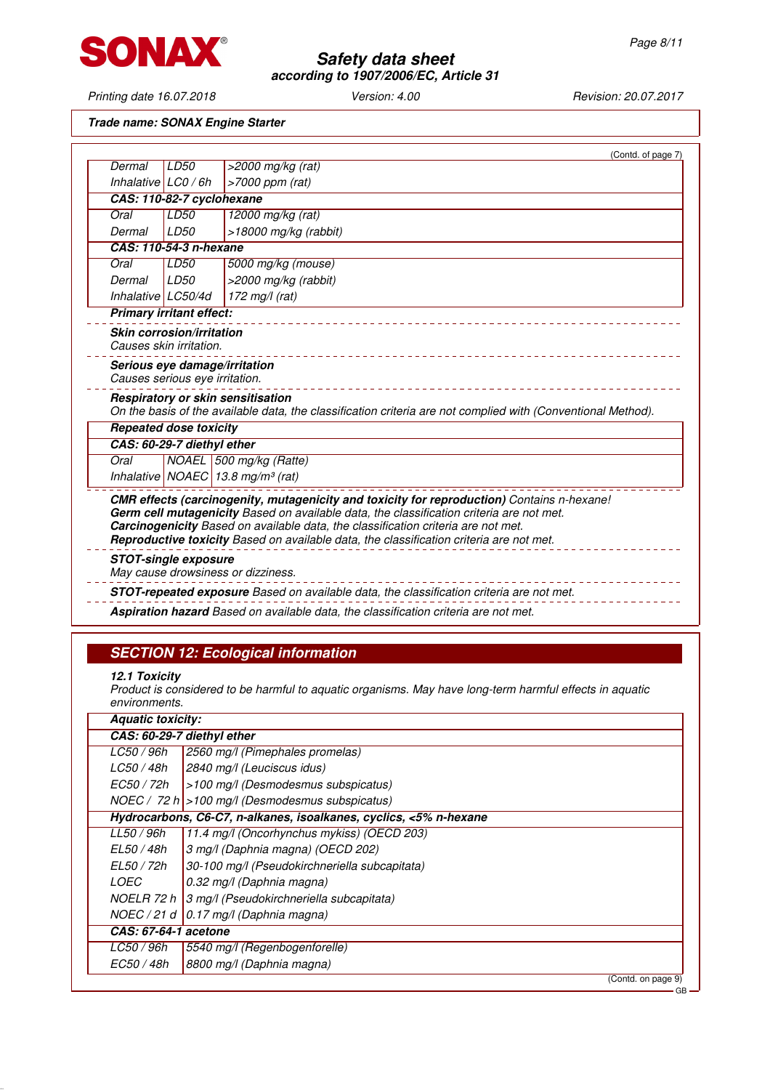

Printing date 16.07.2018 Version: 4.00 Revision: 20.07.2017

## **Trade name: SONAX Engine Starter**

|                               |                                                                 | (Contd. of page 7)                                                                                                                                                                                                                                                                                                                                                     |
|-------------------------------|-----------------------------------------------------------------|------------------------------------------------------------------------------------------------------------------------------------------------------------------------------------------------------------------------------------------------------------------------------------------------------------------------------------------------------------------------|
| Dermal                        | LD50                                                            | >2000 mg/kg (rat)                                                                                                                                                                                                                                                                                                                                                      |
| Inhalative $\lfloor$ LC0 / 6h |                                                                 | $>7000$ ppm (rat)                                                                                                                                                                                                                                                                                                                                                      |
|                               | CAS: 110-82-7 cyclohexane                                       |                                                                                                                                                                                                                                                                                                                                                                        |
| Oral                          | LD50                                                            | 12000 mg/kg (rat)                                                                                                                                                                                                                                                                                                                                                      |
| Dermal                        | LD50                                                            | $>18000$ mg/kg (rabbit)                                                                                                                                                                                                                                                                                                                                                |
|                               | CAS: 110-54-3 n-hexane                                          |                                                                                                                                                                                                                                                                                                                                                                        |
| Oral                          | LD50                                                            | 5000 mg/kg (mouse)                                                                                                                                                                                                                                                                                                                                                     |
| Dermal                        | LD50                                                            | >2000 mg/kg (rabbit)                                                                                                                                                                                                                                                                                                                                                   |
| Inhalative LC50/4d            |                                                                 | 172 mg/l (rat)                                                                                                                                                                                                                                                                                                                                                         |
|                               | <b>Primary irritant effect:</b>                                 |                                                                                                                                                                                                                                                                                                                                                                        |
|                               | <b>Skin corrosion/irritation</b><br>Causes skin irritation.     |                                                                                                                                                                                                                                                                                                                                                                        |
|                               | Serious eye damage/irritation<br>Causes serious eye irritation. |                                                                                                                                                                                                                                                                                                                                                                        |
|                               |                                                                 | Respiratory or skin sensitisation<br>On the basis of the available data, the classification criteria are not complied with (Conventional Method).                                                                                                                                                                                                                      |
|                               | <b>Repeated dose toxicity</b>                                   |                                                                                                                                                                                                                                                                                                                                                                        |
|                               | CAS: 60-29-7 diethyl ether                                      |                                                                                                                                                                                                                                                                                                                                                                        |
| Oral                          |                                                                 | NOAEL 500 mg/kg (Ratte)                                                                                                                                                                                                                                                                                                                                                |
|                               |                                                                 | Inhalative NOAEC 13.8 mg/m <sup>3</sup> (rat)                                                                                                                                                                                                                                                                                                                          |
|                               |                                                                 | CMR effects (carcinogenity, mutagenicity and toxicity for reproduction) Contains n-hexane!<br>Germ cell mutagenicity Based on available data, the classification criteria are not met.<br>Carcinogenicity Based on available data, the classification criteria are not met.<br>Reproductive toxicity Based on available data, the classification criteria are not met. |
|                               | <b>STOT-single exposure</b>                                     | May cause drowsiness or dizziness.                                                                                                                                                                                                                                                                                                                                     |
|                               |                                                                 | <b>STOT-repeated exposure</b> Based on available data, the classification criteria are not met.                                                                                                                                                                                                                                                                        |
|                               |                                                                 | Aspiration hazard Based on available data, the classification criteria are not met.                                                                                                                                                                                                                                                                                    |

## **SECTION 12: Ecological information**

#### **12.1 Toxicity**

Product is considered to be harmful to aquatic organisms. May have long-term harmful effects in aquatic environments.

|                      | CAS: 60-29-7 diethyl ether                                        |                    |
|----------------------|-------------------------------------------------------------------|--------------------|
| LC50 / 96h           | 2560 mg/l (Pimephales promelas)                                   |                    |
| LC50 / 48h           | 2840 mg/l (Leuciscus idus)                                        |                    |
| EC50 / 72h           | $\vert$ >100 mg/l (Desmodesmus subspicatus)                       |                    |
|                      | NOEC / 72 h $>100$ mg/l (Desmodesmus subspicatus)                 |                    |
|                      | Hydrocarbons, C6-C7, n-alkanes, isoalkanes, cyclics, <5% n-hexane |                    |
| LL50 / 96h           | 11.4 mg/l (Oncorhynchus mykiss) (OECD 203)                        |                    |
| EL50 / 48h           | 3 mg/l (Daphnia magna) (OECD 202)                                 |                    |
| EL50 / 72h           | 30-100 mg/l (Pseudokirchneriella subcapitata)                     |                    |
| <i>LOEC</i>          | 0.32 mg/l (Daphnia magna)                                         |                    |
|                      | NOELR 72 h   3 mg/l (Pseudokirchneriella subcapitata)             |                    |
|                      | $NOEC / 21 d   0.17 mg/1 (Daphnia magna)$                         |                    |
| CAS: 67-64-1 acetone |                                                                   |                    |
| LC50 / 96h           | 5540 mg/l (Regenbogenforelle)                                     |                    |
| EC50 / 48h           | 8800 mg/l (Daphnia magna)                                         |                    |
|                      |                                                                   | (Contd. on page 9) |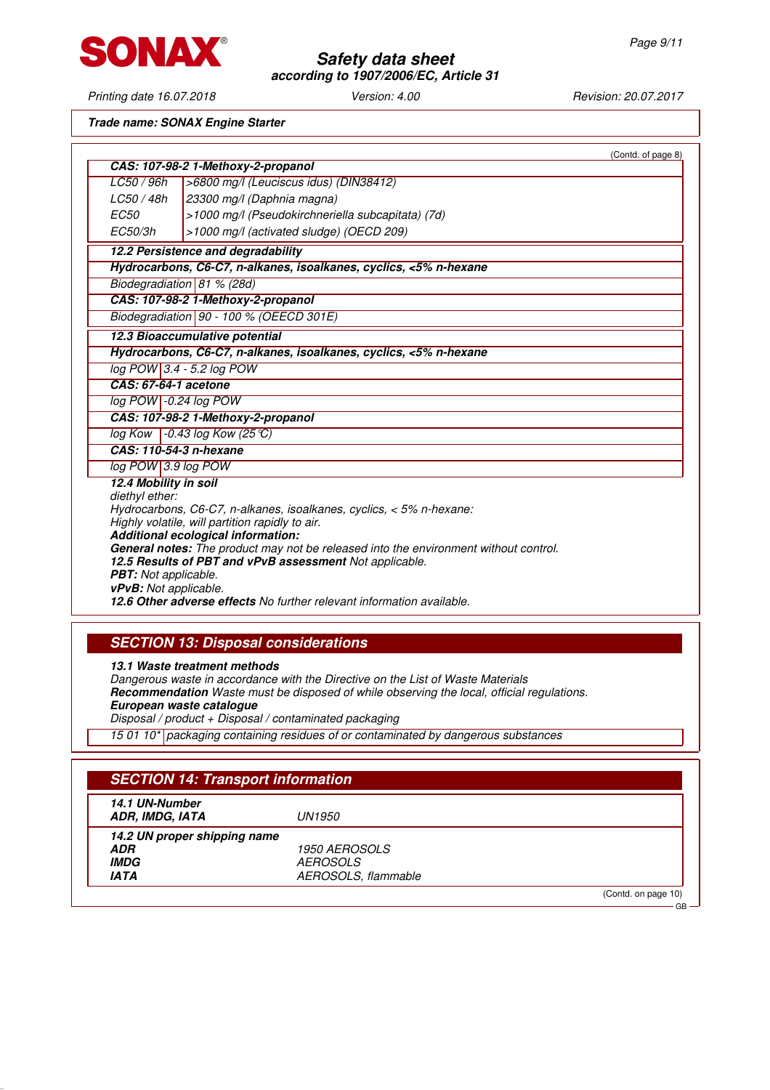

Printing date 16.07.2018 Version: 4.00 Revision: 20.07.2017

**Trade name: SONAX Engine Starter**

|                              | (Contd. of page 8)                                                                                                     |  |
|------------------------------|------------------------------------------------------------------------------------------------------------------------|--|
|                              | CAS: 107-98-2 1-Methoxy-2-propanol                                                                                     |  |
| LC50 / 96h                   | >6800 mg/l (Leuciscus idus) (DIN38412)                                                                                 |  |
| LC50 / 48h                   | 23300 mg/l (Daphnia magna)                                                                                             |  |
| <i>EC50</i>                  | >1000 mg/l (Pseudokirchneriella subcapitata) (7d)                                                                      |  |
| EC50/3h                      | >1000 mg/l (activated sludge) (OECD 209)                                                                               |  |
|                              | 12.2 Persistence and degradability                                                                                     |  |
|                              | Hydrocarbons, C6-C7, n-alkanes, isoalkanes, cyclics, <5% n-hexane                                                      |  |
|                              | Biodegradiation 81 % (28d)                                                                                             |  |
|                              | CAS: 107-98-2 1-Methoxy-2-propanol                                                                                     |  |
|                              | Biodegradiation 90 - 100 % (OEECD 301E)                                                                                |  |
|                              | 12.3 Bioaccumulative potential                                                                                         |  |
|                              | Hydrocarbons, C6-C7, n-alkanes, isoalkanes, cyclics, <5% n-hexane                                                      |  |
|                              | log POW 3.4 - 5.2 log POW                                                                                              |  |
| CAS: 67-64-1 acetone         |                                                                                                                        |  |
| log POW -0.24 log POW        |                                                                                                                        |  |
|                              | CAS: 107-98-2 1-Methoxy-2-propanol                                                                                     |  |
|                              | $log Kow$ -0.43 log Kow (25 °C)                                                                                        |  |
| CAS: 110-54-3 n-hexane       |                                                                                                                        |  |
| log POW 3.9 log POW          |                                                                                                                        |  |
| 12.4 Mobility in soil        |                                                                                                                        |  |
| diethyl ether:               |                                                                                                                        |  |
|                              | Hydrocarbons, C6-C7, n-alkanes, isoalkanes, cyclics, < 5% n-hexane:<br>Highly volatile, will partition rapidly to air. |  |
|                              | Additional ecological information:                                                                                     |  |
|                              | <b>General notes:</b> The product may not be released into the environment without control.                            |  |
|                              | 12.5 Results of PBT and vPvB assessment Not applicable.                                                                |  |
| <b>PBT:</b> Not applicable.  |                                                                                                                        |  |
| <b>vPvB:</b> Not applicable. |                                                                                                                        |  |
|                              | 12.6 Other adverse effects No further relevant information available.                                                  |  |

## **SECTION 13: Disposal considerations**

**13.1 Waste treatment methods** Dangerous waste in accordance with the Directive on the List of Waste Materials **Recommendation** Waste must be disposed of while observing the local, official regulations. **European waste catalogue** Disposal / product + Disposal / contaminated packaging 15 01 10\* packaging containing residues of or contaminated by dangerous substances

| 14.1 UN-Number<br>ADR. IMDG. IATA | UN1950                      |  |
|-----------------------------------|-----------------------------|--|
| 14.2 UN proper shipping name      |                             |  |
| <b>ADR</b>                        | <i><b>1950 AEROSOLS</b></i> |  |
| <i><b>IMDG</b></i>                | <i>AEROSOLS</i>             |  |
| <b>IATA</b>                       | AEROSOLS, flammable         |  |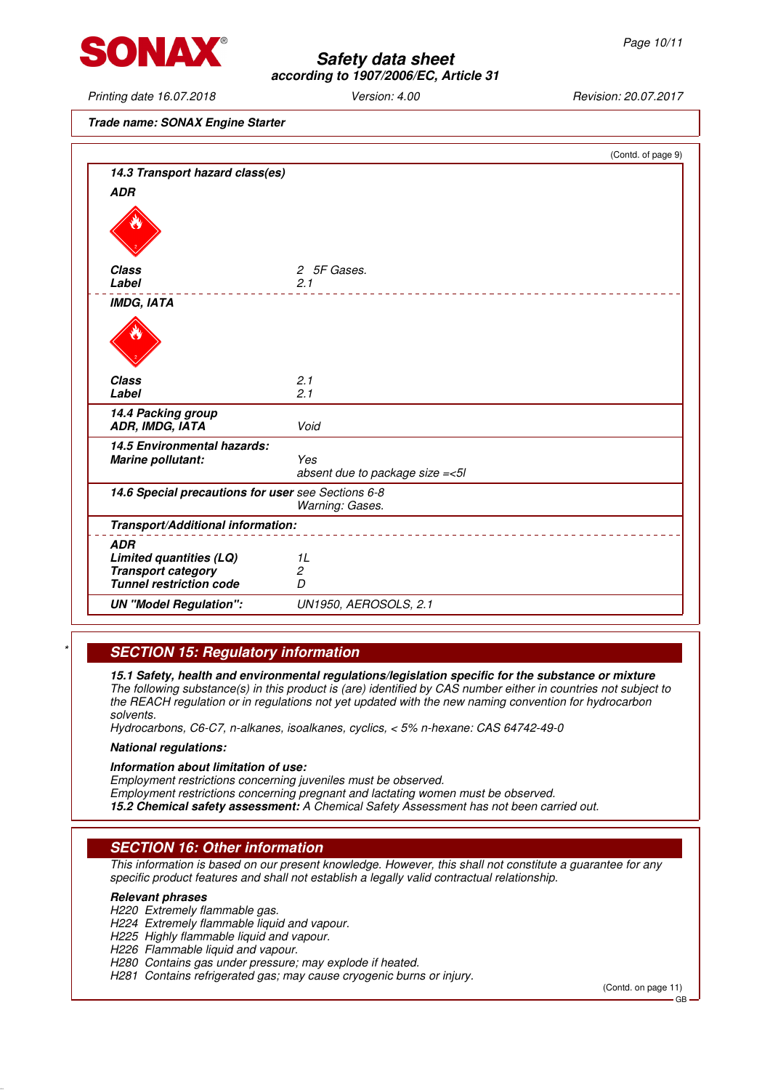

Printing date 16.07.2018 Version: 4.00 Revision: 20.07.2017

**Trade name: SONAX Engine Starter**

|                                                    | (Contd. of page 9)                |
|----------------------------------------------------|-----------------------------------|
| 14.3 Transport hazard class(es)                    |                                   |
| <b>ADR</b>                                         |                                   |
|                                                    |                                   |
| <b>Class</b>                                       | 2 5F Gases.                       |
| Label                                              | 2.1                               |
| <b>IMDG, IATA</b>                                  |                                   |
|                                                    |                                   |
| <b>Class</b>                                       | 2.1                               |
| Label                                              | 2.1                               |
| 14.4 Packing group<br>ADR, IMDG, IATA              | Void                              |
| 14.5 Environmental hazards:                        |                                   |
| <b>Marine pollutant:</b>                           | Yes                               |
|                                                    | absent due to package size = < 5l |
| 14.6 Special precautions for user see Sections 6-8 | Warning: Gases.                   |
| Transport/Additional information:                  |                                   |
| <b>ADR</b>                                         |                                   |
| Limited quantities (LQ)                            | 1L                                |
| <b>Transport category</b>                          | $\overline{c}$                    |
| <b>Tunnel restriction code</b>                     | D                                 |
| <b>UN "Model Regulation":</b>                      | UN1950, AEROSOLS, 2.1             |
|                                                    |                                   |

## **SECTION 15: Regulatory information**

**15.1 Safety, health and environmental regulations/legislation specific for the substance or mixture** The following substance(s) in this product is (are) identified by CAS number either in countries not subject to the REACH regulation or in regulations not yet updated with the new naming convention for hydrocarbon solvents.

Hydrocarbons, C6-C7, n-alkanes, isoalkanes, cyclics, < 5% n-hexane: CAS 64742-49-0

#### **National regulations:**

#### **Information about limitation of use:**

Employment restrictions concerning juveniles must be observed.

Employment restrictions concerning pregnant and lactating women must be observed. **15.2 Chemical safety assessment:** A Chemical Safety Assessment has not been carried out.

## **SECTION 16: Other information**

This information is based on our present knowledge. However, this shall not constitute a guarantee for any specific product features and shall not establish a legally valid contractual relationship.

#### **Relevant phrases**

H220 Extremely flammable gas.

- H224 Extremely flammable liquid and vapour.
- H225 Highly flammable liquid and vapour.
- H226 Flammable liquid and vapour.
- H280 Contains gas under pressure; may explode if heated.

H281 Contains refrigerated gas; may cause cryogenic burns or injury.

(Contd. on page 11)

GB